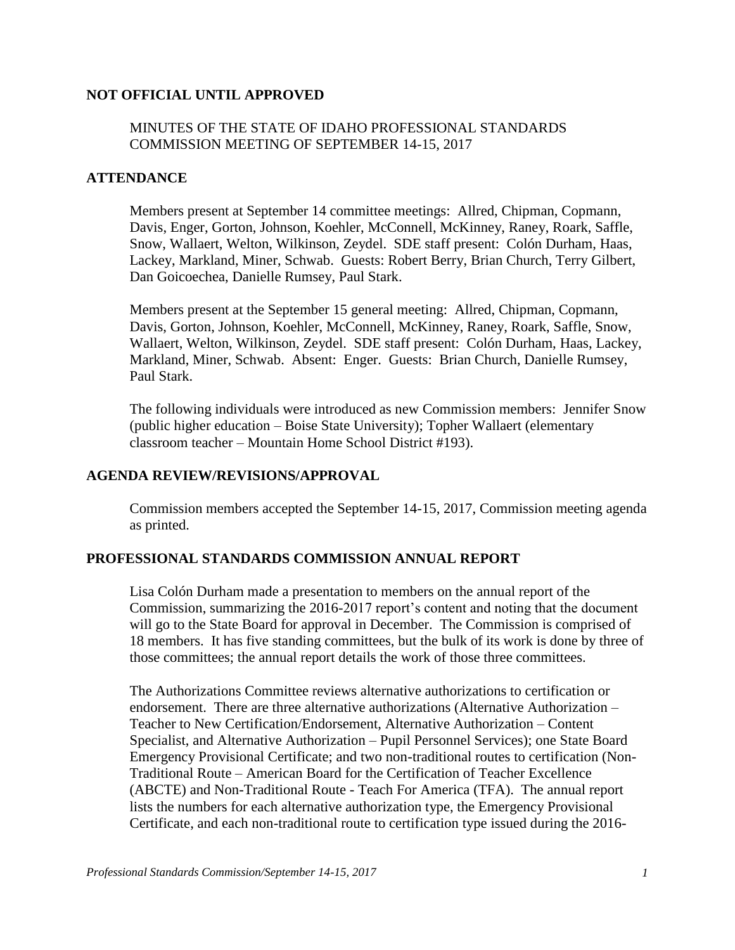## **NOT OFFICIAL UNTIL APPROVED**

## MINUTES OF THE STATE OF IDAHO PROFESSIONAL STANDARDS COMMISSION MEETING OF SEPTEMBER 14-15, 2017

#### **ATTENDANCE**

Members present at September 14 committee meetings: Allred, Chipman, Copmann, Davis, Enger, Gorton, Johnson, Koehler, McConnell, McKinney, Raney, Roark, Saffle, Snow, Wallaert, Welton, Wilkinson, Zeydel. SDE staff present: Colón Durham, Haas, Lackey, Markland, Miner, Schwab. Guests: Robert Berry, Brian Church, Terry Gilbert, Dan Goicoechea, Danielle Rumsey, Paul Stark.

Members present at the September 15 general meeting: Allred, Chipman, Copmann, Davis, Gorton, Johnson, Koehler, McConnell, McKinney, Raney, Roark, Saffle, Snow, Wallaert, Welton, Wilkinson, Zeydel. SDE staff present: Colón Durham, Haas, Lackey, Markland, Miner, Schwab. Absent: Enger. Guests: Brian Church, Danielle Rumsey, Paul Stark.

The following individuals were introduced as new Commission members: Jennifer Snow (public higher education – Boise State University); Topher Wallaert (elementary classroom teacher – Mountain Home School District #193).

#### **AGENDA REVIEW/REVISIONS/APPROVAL**

Commission members accepted the September 14-15, 2017, Commission meeting agenda as printed.

#### **PROFESSIONAL STANDARDS COMMISSION ANNUAL REPORT**

Lisa Colón Durham made a presentation to members on the annual report of the Commission, summarizing the 2016-2017 report's content and noting that the document will go to the State Board for approval in December. The Commission is comprised of 18 members. It has five standing committees, but the bulk of its work is done by three of those committees; the annual report details the work of those three committees.

The Authorizations Committee reviews alternative authorizations to certification or endorsement. There are three alternative authorizations (Alternative Authorization – Teacher to New Certification/Endorsement, Alternative Authorization – Content Specialist, and Alternative Authorization – Pupil Personnel Services); one State Board Emergency Provisional Certificate; and two non-traditional routes to certification (Non-Traditional Route – American Board for the Certification of Teacher Excellence (ABCTE) and Non-Traditional Route - Teach For America (TFA). The annual report lists the numbers for each alternative authorization type, the Emergency Provisional Certificate, and each non-traditional route to certification type issued during the 2016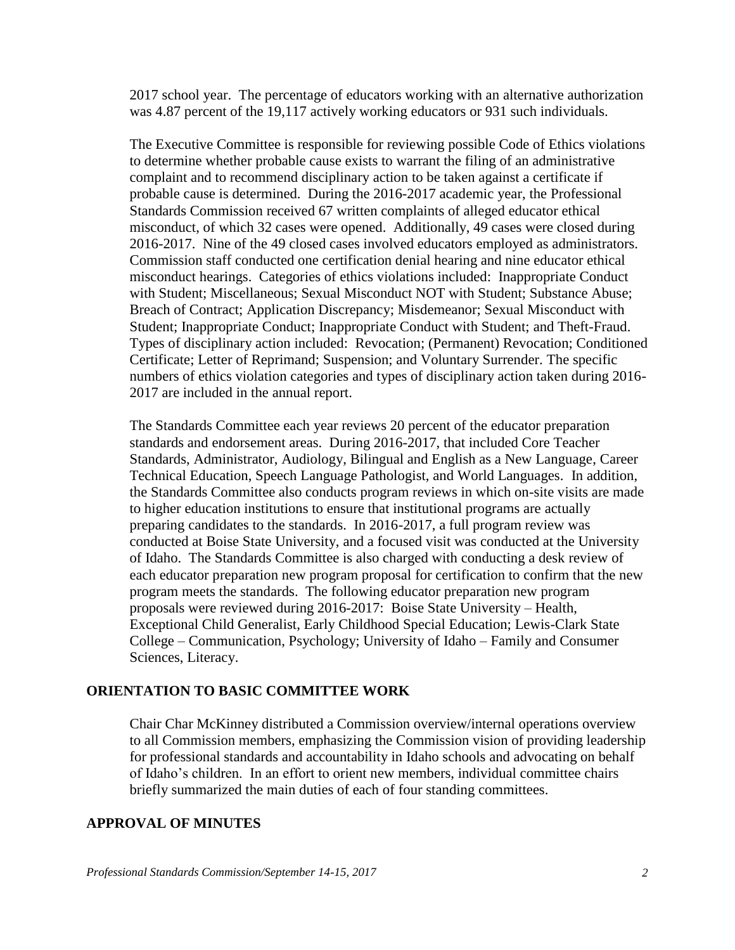2017 school year. The percentage of educators working with an alternative authorization was 4.87 percent of the 19,117 actively working educators or 931 such individuals.

The Executive Committee is responsible for reviewing possible Code of Ethics violations to determine whether probable cause exists to warrant the filing of an administrative complaint and to recommend disciplinary action to be taken against a certificate if probable cause is determined. During the 2016-2017 academic year, the Professional Standards Commission received 67 written complaints of alleged educator ethical misconduct, of which 32 cases were opened. Additionally, 49 cases were closed during 2016-2017. Nine of the 49 closed cases involved educators employed as administrators. Commission staff conducted one certification denial hearing and nine educator ethical misconduct hearings. Categories of ethics violations included: Inappropriate Conduct with Student; Miscellaneous; Sexual Misconduct NOT with Student; Substance Abuse; Breach of Contract; Application Discrepancy; Misdemeanor; Sexual Misconduct with Student; Inappropriate Conduct; Inappropriate Conduct with Student; and Theft-Fraud. Types of disciplinary action included: Revocation; (Permanent) Revocation; Conditioned Certificate; Letter of Reprimand; Suspension; and Voluntary Surrender. The specific numbers of ethics violation categories and types of disciplinary action taken during 2016- 2017 are included in the annual report.

The Standards Committee each year reviews 20 percent of the educator preparation standards and endorsement areas. During 2016-2017, that included Core Teacher Standards, Administrator, Audiology, Bilingual and English as a New Language, Career Technical Education, Speech Language Pathologist, and World Languages. In addition, the Standards Committee also conducts program reviews in which on-site visits are made to higher education institutions to ensure that institutional programs are actually preparing candidates to the standards. In 2016-2017, a full program review was conducted at Boise State University, and a focused visit was conducted at the University of Idaho. The Standards Committee is also charged with conducting a desk review of each educator preparation new program proposal for certification to confirm that the new program meets the standards. The following educator preparation new program proposals were reviewed during 2016-2017: Boise State University – Health, Exceptional Child Generalist, Early Childhood Special Education; Lewis-Clark State College – Communication, Psychology; University of Idaho – Family and Consumer Sciences, Literacy.

#### **ORIENTATION TO BASIC COMMITTEE WORK**

Chair Char McKinney distributed a Commission overview/internal operations overview to all Commission members, emphasizing the Commission vision of providing leadership for professional standards and accountability in Idaho schools and advocating on behalf of Idaho's children. In an effort to orient new members, individual committee chairs briefly summarized the main duties of each of four standing committees.

#### **APPROVAL OF MINUTES**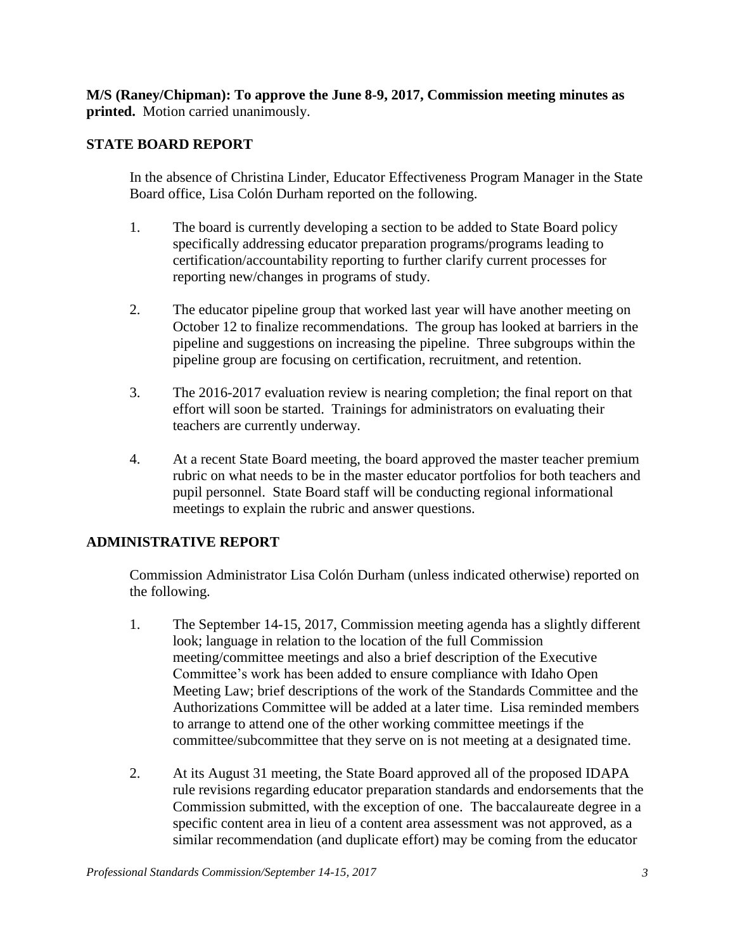**M/S (Raney/Chipman): To approve the June 8-9, 2017, Commission meeting minutes as printed.** Motion carried unanimously.

## **STATE BOARD REPORT**

In the absence of Christina Linder, Educator Effectiveness Program Manager in the State Board office, Lisa Colón Durham reported on the following.

- 1. The board is currently developing a section to be added to State Board policy specifically addressing educator preparation programs/programs leading to certification/accountability reporting to further clarify current processes for reporting new/changes in programs of study.
- 2. The educator pipeline group that worked last year will have another meeting on October 12 to finalize recommendations. The group has looked at barriers in the pipeline and suggestions on increasing the pipeline. Three subgroups within the pipeline group are focusing on certification, recruitment, and retention.
- 3. The 2016-2017 evaluation review is nearing completion; the final report on that effort will soon be started. Trainings for administrators on evaluating their teachers are currently underway.
- 4. At a recent State Board meeting, the board approved the master teacher premium rubric on what needs to be in the master educator portfolios for both teachers and pupil personnel. State Board staff will be conducting regional informational meetings to explain the rubric and answer questions.

# **ADMINISTRATIVE REPORT**

Commission Administrator Lisa Colón Durham (unless indicated otherwise) reported on the following.

- 1. The September 14-15, 2017, Commission meeting agenda has a slightly different look; language in relation to the location of the full Commission meeting/committee meetings and also a brief description of the Executive Committee's work has been added to ensure compliance with Idaho Open Meeting Law; brief descriptions of the work of the Standards Committee and the Authorizations Committee will be added at a later time. Lisa reminded members to arrange to attend one of the other working committee meetings if the committee/subcommittee that they serve on is not meeting at a designated time.
- 2. At its August 31 meeting, the State Board approved all of the proposed IDAPA rule revisions regarding educator preparation standards and endorsements that the Commission submitted, with the exception of one. The baccalaureate degree in a specific content area in lieu of a content area assessment was not approved, as a similar recommendation (and duplicate effort) may be coming from the educator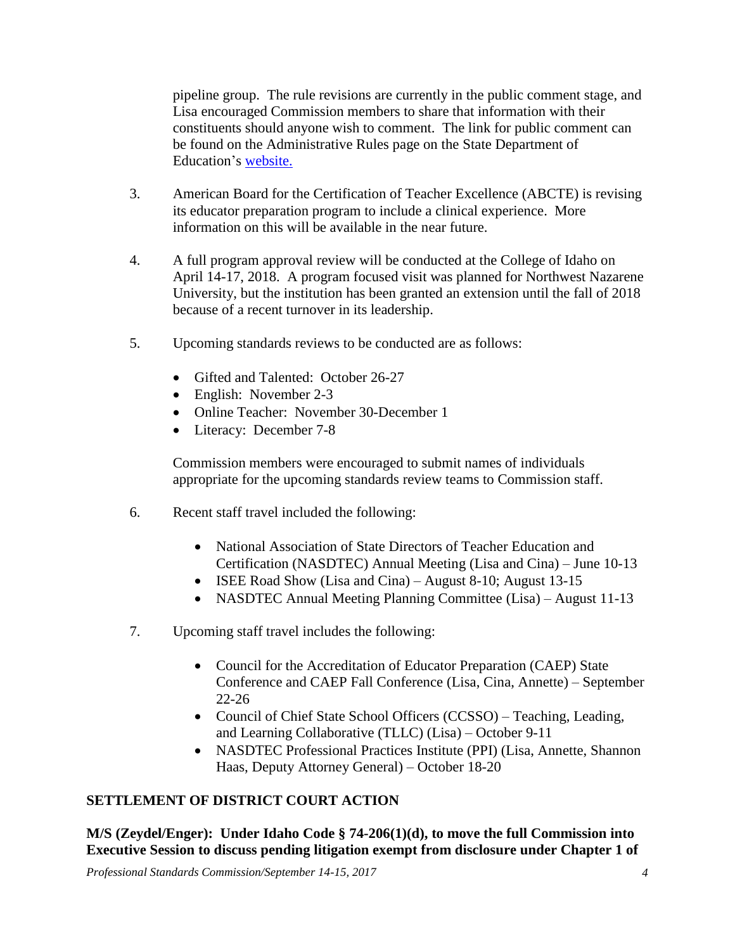pipeline group. The rule revisions are currently in the public comment stage, and Lisa encouraged Commission members to share that information with their constituents should anyone wish to comment. The link for public comment can be found on the Administrative Rules page on the State Department of Education's [website.](http://www.sde.idaho.gov/topics/admin-rules/index.html)

- 3. American Board for the Certification of Teacher Excellence (ABCTE) is revising its educator preparation program to include a clinical experience. More information on this will be available in the near future.
- 4. A full program approval review will be conducted at the College of Idaho on April 14-17, 2018. A program focused visit was planned for Northwest Nazarene University, but the institution has been granted an extension until the fall of 2018 because of a recent turnover in its leadership.
- 5. Upcoming standards reviews to be conducted are as follows:
	- Gifted and Talented: October 26-27
	- English: November 2-3
	- Online Teacher: November 30-December 1
	- Literacy: December 7-8

Commission members were encouraged to submit names of individuals appropriate for the upcoming standards review teams to Commission staff.

- 6. Recent staff travel included the following:
	- National Association of State Directors of Teacher Education and Certification (NASDTEC) Annual Meeting (Lisa and Cina) – June 10-13
	- ISEE Road Show (Lisa and Cina) August 8-10; August 13-15
	- NASDTEC Annual Meeting Planning Committee (Lisa) August 11-13
- 7. Upcoming staff travel includes the following:
	- Council for the Accreditation of Educator Preparation (CAEP) State Conference and CAEP Fall Conference (Lisa, Cina, Annette) – September 22-26
	- Council of Chief State School Officers (CCSSO) Teaching, Leading, and Learning Collaborative (TLLC) (Lisa) – October 9-11
	- NASDTEC Professional Practices Institute (PPI) (Lisa, Annette, Shannon Haas, Deputy Attorney General) – October 18-20

# **SETTLEMENT OF DISTRICT COURT ACTION**

**M/S (Zeydel/Enger): Under Idaho Code § 74-206(1)(d), to move the full Commission into Executive Session to discuss pending litigation exempt from disclosure under Chapter 1 of** 

*Professional Standards Commission/September 14-15, 2017 4*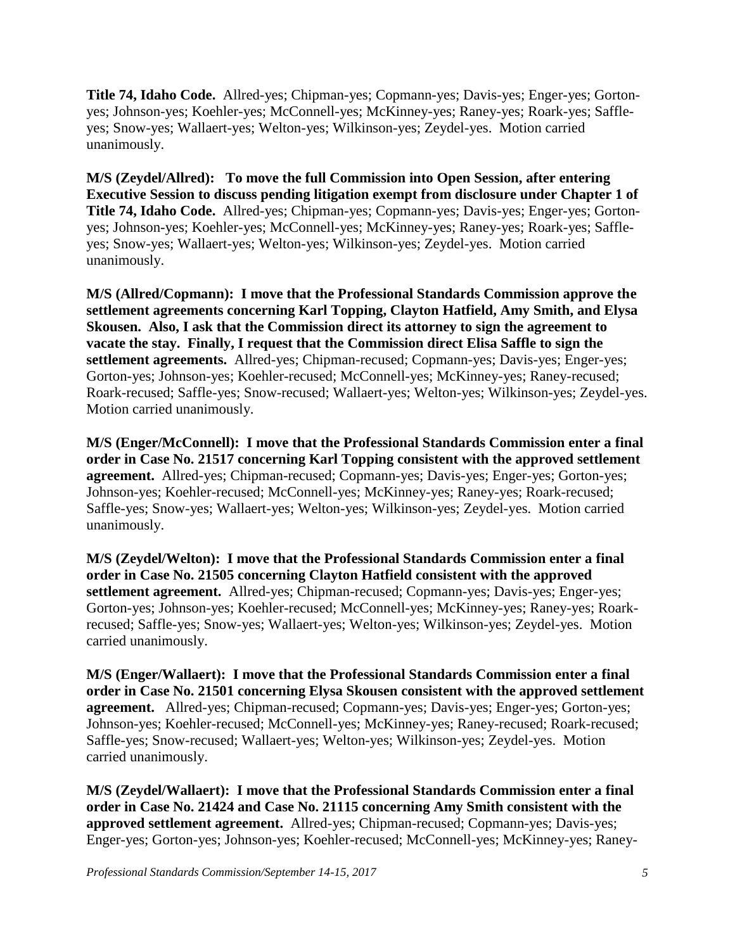**Title 74, Idaho Code.** Allred-yes; Chipman-yes; Copmann-yes; Davis-yes; Enger-yes; Gortonyes; Johnson-yes; Koehler-yes; McConnell-yes; McKinney-yes; Raney-yes; Roark-yes; Saffleyes; Snow-yes; Wallaert-yes; Welton-yes; Wilkinson-yes; Zeydel-yes. Motion carried unanimously.

**M/S (Zeydel/Allred): To move the full Commission into Open Session, after entering Executive Session to discuss pending litigation exempt from disclosure under Chapter 1 of Title 74, Idaho Code.** Allred-yes; Chipman-yes; Copmann-yes; Davis-yes; Enger-yes; Gortonyes; Johnson-yes; Koehler-yes; McConnell-yes; McKinney-yes; Raney-yes; Roark-yes; Saffleyes; Snow-yes; Wallaert-yes; Welton-yes; Wilkinson-yes; Zeydel-yes. Motion carried unanimously.

**M/S (Allred/Copmann): I move that the Professional Standards Commission approve the settlement agreements concerning Karl Topping, Clayton Hatfield, Amy Smith, and Elysa Skousen. Also, I ask that the Commission direct its attorney to sign the agreement to vacate the stay. Finally, I request that the Commission direct Elisa Saffle to sign the settlement agreements.** Allred-yes; Chipman-recused; Copmann-yes; Davis-yes; Enger-yes; Gorton-yes; Johnson-yes; Koehler-recused; McConnell-yes; McKinney-yes; Raney-recused; Roark-recused; Saffle-yes; Snow-recused; Wallaert-yes; Welton-yes; Wilkinson-yes; Zeydel-yes. Motion carried unanimously.

**M/S (Enger/McConnell): I move that the Professional Standards Commission enter a final order in Case No. 21517 concerning Karl Topping consistent with the approved settlement agreement.** Allred-yes; Chipman-recused; Copmann-yes; Davis-yes; Enger-yes; Gorton-yes; Johnson-yes; Koehler-recused; McConnell-yes; McKinney-yes; Raney-yes; Roark-recused; Saffle-yes; Snow-yes; Wallaert-yes; Welton-yes; Wilkinson-yes; Zeydel-yes. Motion carried unanimously.

**M/S (Zeydel/Welton): I move that the Professional Standards Commission enter a final order in Case No. 21505 concerning Clayton Hatfield consistent with the approved settlement agreement.** Allred-yes; Chipman-recused; Copmann-yes; Davis-yes; Enger-yes; Gorton-yes; Johnson-yes; Koehler-recused; McConnell-yes; McKinney-yes; Raney-yes; Roarkrecused; Saffle-yes; Snow-yes; Wallaert-yes; Welton-yes; Wilkinson-yes; Zeydel-yes. Motion carried unanimously.

**M/S (Enger/Wallaert): I move that the Professional Standards Commission enter a final order in Case No. 21501 concerning Elysa Skousen consistent with the approved settlement agreement.** Allred-yes; Chipman-recused; Copmann-yes; Davis-yes; Enger-yes; Gorton-yes; Johnson-yes; Koehler-recused; McConnell-yes; McKinney-yes; Raney-recused; Roark-recused; Saffle-yes; Snow-recused; Wallaert-yes; Welton-yes; Wilkinson-yes; Zeydel-yes. Motion carried unanimously.

**M/S (Zeydel/Wallaert): I move that the Professional Standards Commission enter a final order in Case No. 21424 and Case No. 21115 concerning Amy Smith consistent with the approved settlement agreement.** Allred-yes; Chipman-recused; Copmann-yes; Davis-yes; Enger-yes; Gorton-yes; Johnson-yes; Koehler-recused; McConnell-yes; McKinney-yes; Raney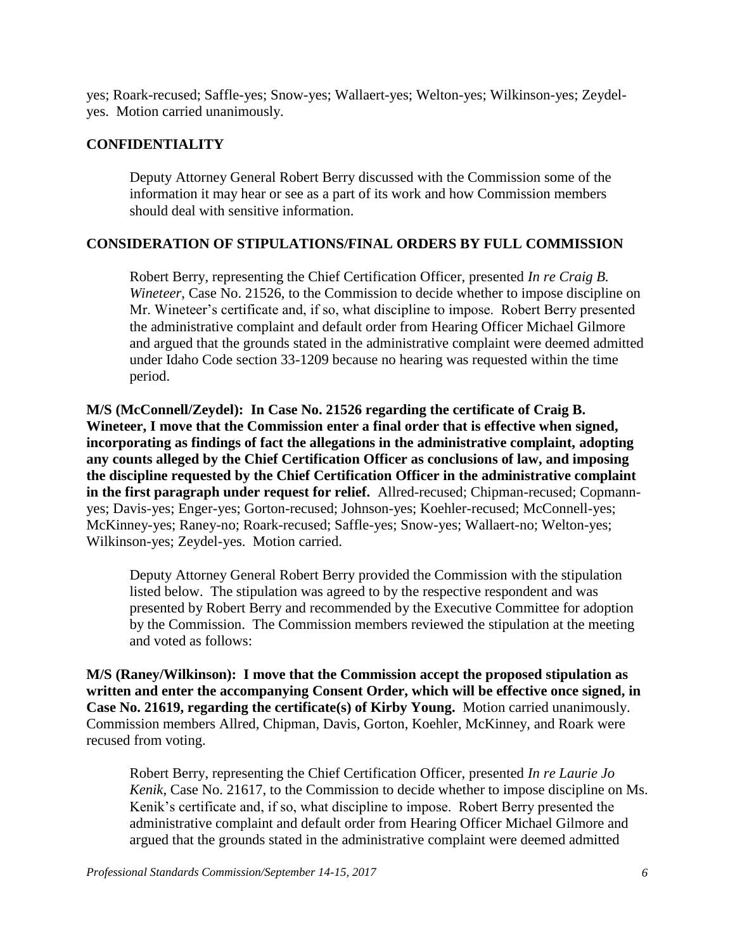yes; Roark-recused; Saffle-yes; Snow-yes; Wallaert-yes; Welton-yes; Wilkinson-yes; Zeydelyes. Motion carried unanimously.

## **CONFIDENTIALITY**

Deputy Attorney General Robert Berry discussed with the Commission some of the information it may hear or see as a part of its work and how Commission members should deal with sensitive information.

## **CONSIDERATION OF STIPULATIONS/FINAL ORDERS BY FULL COMMISSION**

Robert Berry, representing the Chief Certification Officer, presented *In re Craig B. Wineteer*, Case No. 21526, to the Commission to decide whether to impose discipline on Mr. Wineteer's certificate and, if so, what discipline to impose. Robert Berry presented the administrative complaint and default order from Hearing Officer Michael Gilmore and argued that the grounds stated in the administrative complaint were deemed admitted under Idaho Code section 33-1209 because no hearing was requested within the time period.

**M/S (McConnell/Zeydel): In Case No. 21526 regarding the certificate of Craig B. Wineteer, I move that the Commission enter a final order that is effective when signed, incorporating as findings of fact the allegations in the administrative complaint, adopting any counts alleged by the Chief Certification Officer as conclusions of law, and imposing the discipline requested by the Chief Certification Officer in the administrative complaint in the first paragraph under request for relief.** Allred-recused; Chipman-recused; Copmannyes; Davis-yes; Enger-yes; Gorton-recused; Johnson-yes; Koehler-recused; McConnell-yes; McKinney-yes; Raney-no; Roark-recused; Saffle-yes; Snow-yes; Wallaert-no; Welton-yes; Wilkinson-yes; Zeydel-yes. Motion carried.

Deputy Attorney General Robert Berry provided the Commission with the stipulation listed below. The stipulation was agreed to by the respective respondent and was presented by Robert Berry and recommended by the Executive Committee for adoption by the Commission. The Commission members reviewed the stipulation at the meeting and voted as follows:

**M/S (Raney/Wilkinson): I move that the Commission accept the proposed stipulation as written and enter the accompanying Consent Order, which will be effective once signed, in Case No. 21619, regarding the certificate(s) of Kirby Young.** Motion carried unanimously. Commission members Allred, Chipman, Davis, Gorton, Koehler, McKinney, and Roark were recused from voting.

Robert Berry, representing the Chief Certification Officer, presented *In re Laurie Jo Kenik*, Case No. 21617, to the Commission to decide whether to impose discipline on Ms. Kenik's certificate and, if so, what discipline to impose. Robert Berry presented the administrative complaint and default order from Hearing Officer Michael Gilmore and argued that the grounds stated in the administrative complaint were deemed admitted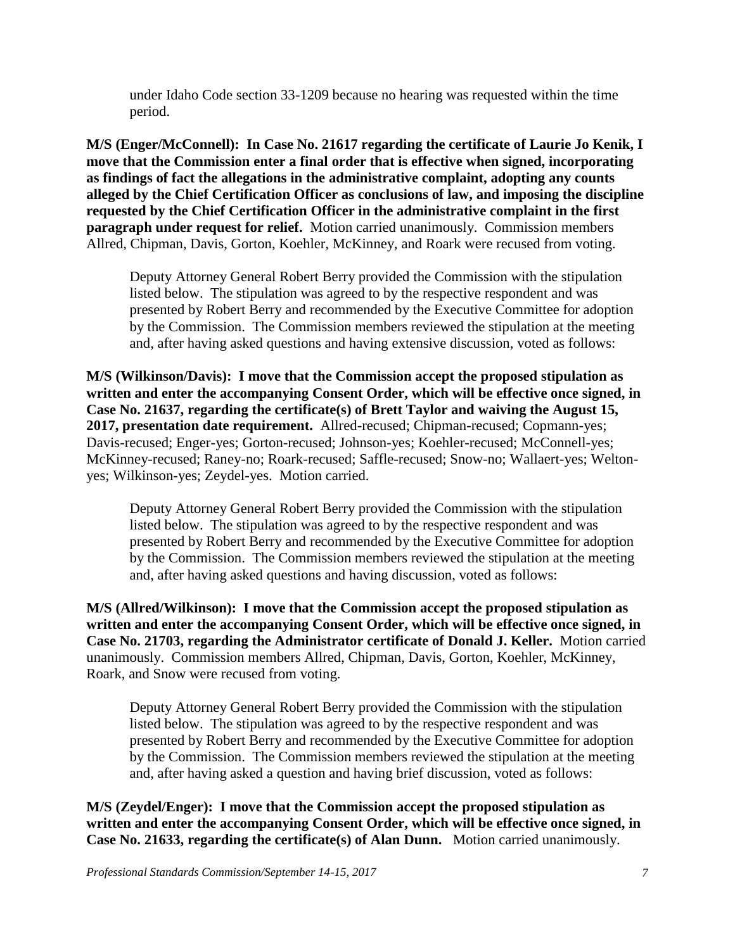under Idaho Code section 33-1209 because no hearing was requested within the time period.

**M/S (Enger/McConnell): In Case No. 21617 regarding the certificate of Laurie Jo Kenik, I move that the Commission enter a final order that is effective when signed, incorporating as findings of fact the allegations in the administrative complaint, adopting any counts alleged by the Chief Certification Officer as conclusions of law, and imposing the discipline requested by the Chief Certification Officer in the administrative complaint in the first paragraph under request for relief.** Motion carried unanimously. Commission members Allred, Chipman, Davis, Gorton, Koehler, McKinney, and Roark were recused from voting.

Deputy Attorney General Robert Berry provided the Commission with the stipulation listed below. The stipulation was agreed to by the respective respondent and was presented by Robert Berry and recommended by the Executive Committee for adoption by the Commission. The Commission members reviewed the stipulation at the meeting and, after having asked questions and having extensive discussion, voted as follows:

**M/S (Wilkinson/Davis): I move that the Commission accept the proposed stipulation as written and enter the accompanying Consent Order, which will be effective once signed, in Case No. 21637, regarding the certificate(s) of Brett Taylor and waiving the August 15, 2017, presentation date requirement.** Allred-recused; Chipman-recused; Copmann-yes; Davis-recused; Enger-yes; Gorton-recused; Johnson-yes; Koehler-recused; McConnell-yes; McKinney-recused; Raney-no; Roark-recused; Saffle-recused; Snow-no; Wallaert-yes; Weltonyes; Wilkinson-yes; Zeydel-yes.Motion carried.

Deputy Attorney General Robert Berry provided the Commission with the stipulation listed below. The stipulation was agreed to by the respective respondent and was presented by Robert Berry and recommended by the Executive Committee for adoption by the Commission. The Commission members reviewed the stipulation at the meeting and, after having asked questions and having discussion, voted as follows:

**M/S (Allred/Wilkinson): I move that the Commission accept the proposed stipulation as written and enter the accompanying Consent Order, which will be effective once signed, in Case No. 21703, regarding the Administrator certificate of Donald J. Keller.** Motion carried unanimously. Commission members Allred, Chipman, Davis, Gorton, Koehler, McKinney, Roark, and Snow were recused from voting.

Deputy Attorney General Robert Berry provided the Commission with the stipulation listed below. The stipulation was agreed to by the respective respondent and was presented by Robert Berry and recommended by the Executive Committee for adoption by the Commission. The Commission members reviewed the stipulation at the meeting and, after having asked a question and having brief discussion, voted as follows:

**M/S (Zeydel/Enger): I move that the Commission accept the proposed stipulation as written and enter the accompanying Consent Order, which will be effective once signed, in Case No. 21633, regarding the certificate(s) of Alan Dunn.** Motion carried unanimously.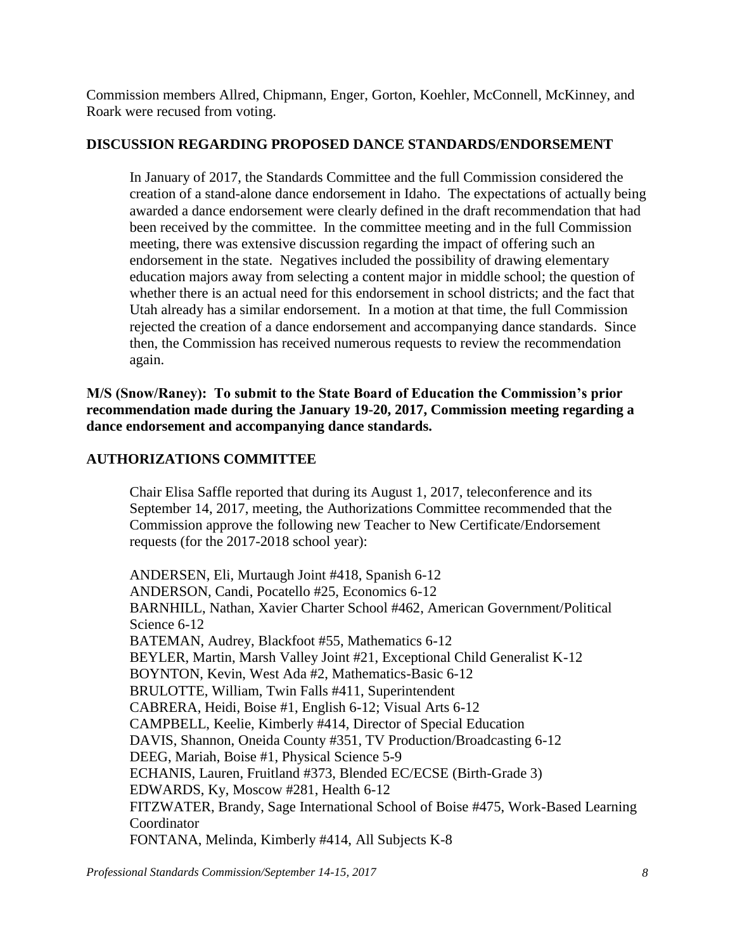Commission members Allred, Chipmann, Enger, Gorton, Koehler, McConnell, McKinney, and Roark were recused from voting.

## **DISCUSSION REGARDING PROPOSED DANCE STANDARDS/ENDORSEMENT**

In January of 2017, the Standards Committee and the full Commission considered the creation of a stand-alone dance endorsement in Idaho. The expectations of actually being awarded a dance endorsement were clearly defined in the draft recommendation that had been received by the committee. In the committee meeting and in the full Commission meeting, there was extensive discussion regarding the impact of offering such an endorsement in the state. Negatives included the possibility of drawing elementary education majors away from selecting a content major in middle school; the question of whether there is an actual need for this endorsement in school districts; and the fact that Utah already has a similar endorsement. In a motion at that time, the full Commission rejected the creation of a dance endorsement and accompanying dance standards. Since then, the Commission has received numerous requests to review the recommendation again.

**M/S (Snow/Raney): To submit to the State Board of Education the Commission's prior recommendation made during the January 19-20, 2017, Commission meeting regarding a dance endorsement and accompanying dance standards.**

# **AUTHORIZATIONS COMMITTEE**

Chair Elisa Saffle reported that during its August 1, 2017, teleconference and its September 14, 2017, meeting, the Authorizations Committee recommended that the Commission approve the following new Teacher to New Certificate/Endorsement requests (for the 2017-2018 school year):

ANDERSEN, Eli, Murtaugh Joint #418, Spanish 6-12 ANDERSON, Candi, Pocatello #25, Economics 6-12 BARNHILL, Nathan, Xavier Charter School #462, American Government/Political Science 6-12 BATEMAN, Audrey, Blackfoot #55, Mathematics 6-12 BEYLER, Martin, Marsh Valley Joint #21, Exceptional Child Generalist K-12 BOYNTON, Kevin, West Ada #2, Mathematics-Basic 6-12 BRULOTTE, William, Twin Falls #411, Superintendent CABRERA, Heidi, Boise #1, English 6-12; Visual Arts 6-12 CAMPBELL, Keelie, Kimberly #414, Director of Special Education DAVIS, Shannon, Oneida County #351, TV Production/Broadcasting 6-12 DEEG, Mariah, Boise #1, Physical Science 5-9 ECHANIS, Lauren, Fruitland #373, Blended EC/ECSE (Birth-Grade 3) EDWARDS, Ky, Moscow #281, Health 6-12 FITZWATER, Brandy, Sage International School of Boise #475, Work-Based Learning Coordinator FONTANA, Melinda, Kimberly #414, All Subjects K-8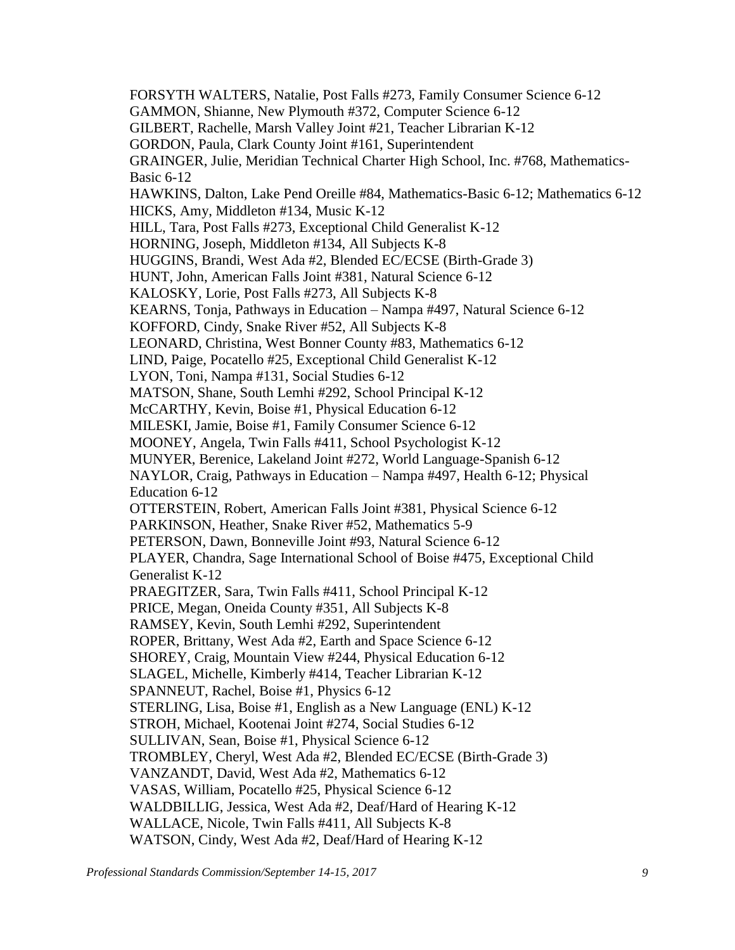FORSYTH WALTERS, Natalie, Post Falls #273, Family Consumer Science 6-12 GAMMON, Shianne, New Plymouth #372, Computer Science 6-12 GILBERT, Rachelle, Marsh Valley Joint #21, Teacher Librarian K-12 GORDON, Paula, Clark County Joint #161, Superintendent GRAINGER, Julie, Meridian Technical Charter High School, Inc. #768, Mathematics-Basic 6-12 HAWKINS, Dalton, Lake Pend Oreille #84, Mathematics-Basic 6-12; Mathematics 6-12 HICKS, Amy, Middleton #134, Music K-12 HILL, Tara, Post Falls #273, Exceptional Child Generalist K-12 HORNING, Joseph, Middleton #134, All Subjects K-8 HUGGINS, Brandi, West Ada #2, Blended EC/ECSE (Birth-Grade 3) HUNT, John, American Falls Joint #381, Natural Science 6-12 KALOSKY, Lorie, Post Falls #273, All Subjects K-8 KEARNS, Tonja, Pathways in Education – Nampa #497, Natural Science 6-12 KOFFORD, Cindy, Snake River #52, All Subjects K-8 LEONARD, Christina, West Bonner County #83, Mathematics 6-12 LIND, Paige, Pocatello #25, Exceptional Child Generalist K-12 LYON, Toni, Nampa #131, Social Studies 6-12 MATSON, Shane, South Lemhi #292, School Principal K-12 McCARTHY, Kevin, Boise #1, Physical Education 6-12 MILESKI, Jamie, Boise #1, Family Consumer Science 6-12 MOONEY, Angela, Twin Falls #411, School Psychologist K-12 MUNYER, Berenice, Lakeland Joint #272, World Language-Spanish 6-12 NAYLOR, Craig, Pathways in Education – Nampa #497, Health 6-12; Physical Education 6-12 OTTERSTEIN, Robert, American Falls Joint #381, Physical Science 6-12 PARKINSON, Heather, Snake River #52, Mathematics 5-9 PETERSON, Dawn, Bonneville Joint #93, Natural Science 6-12 PLAYER, Chandra, Sage International School of Boise #475, Exceptional Child Generalist K-12 PRAEGITZER, Sara, Twin Falls #411, School Principal K-12 PRICE, Megan, Oneida County #351, All Subjects K-8 RAMSEY, Kevin, South Lemhi #292, Superintendent ROPER, Brittany, West Ada #2, Earth and Space Science 6-12 SHOREY, Craig, Mountain View #244, Physical Education 6-12 SLAGEL, Michelle, Kimberly #414, Teacher Librarian K-12 SPANNEUT, Rachel, Boise #1, Physics 6-12 STERLING, Lisa, Boise #1, English as a New Language (ENL) K-12 STROH, Michael, Kootenai Joint #274, Social Studies 6-12 SULLIVAN, Sean, Boise #1, Physical Science 6-12 TROMBLEY, Cheryl, West Ada #2, Blended EC/ECSE (Birth-Grade 3) VANZANDT, David, West Ada #2, Mathematics 6-12 VASAS, William, Pocatello #25, Physical Science 6-12 WALDBILLIG, Jessica, West Ada #2, Deaf/Hard of Hearing K-12 WALLACE, Nicole, Twin Falls #411, All Subjects K-8 WATSON, Cindy, West Ada #2, Deaf/Hard of Hearing K-12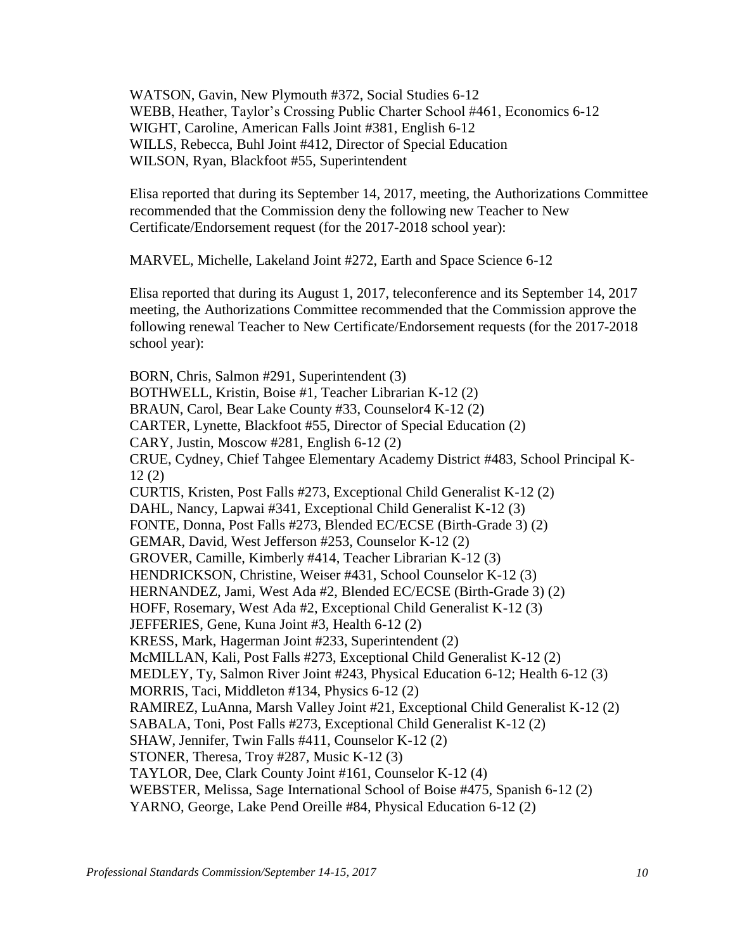WATSON, Gavin, New Plymouth #372, Social Studies 6-12 WEBB, Heather, Taylor's Crossing Public Charter School #461, Economics 6-12 WIGHT, Caroline, American Falls Joint #381, English 6-12 WILLS, Rebecca, Buhl Joint #412, Director of Special Education WILSON, Ryan, Blackfoot #55, Superintendent

Elisa reported that during its September 14, 2017, meeting, the Authorizations Committee recommended that the Commission deny the following new Teacher to New Certificate/Endorsement request (for the 2017-2018 school year):

MARVEL, Michelle, Lakeland Joint #272, Earth and Space Science 6-12

Elisa reported that during its August 1, 2017, teleconference and its September 14, 2017 meeting, the Authorizations Committee recommended that the Commission approve the following renewal Teacher to New Certificate/Endorsement requests (for the 2017-2018 school year):

BORN, Chris, Salmon #291, Superintendent (3) BOTHWELL, Kristin, Boise #1, Teacher Librarian K-12 (2) BRAUN, Carol, Bear Lake County #33, Counselor4 K-12 (2) CARTER, Lynette, Blackfoot #55, Director of Special Education (2) CARY, Justin, Moscow #281, English 6-12 (2) CRUE, Cydney, Chief Tahgee Elementary Academy District #483, School Principal K-12 (2) CURTIS, Kristen, Post Falls #273, Exceptional Child Generalist K-12 (2) DAHL, Nancy, Lapwai #341, Exceptional Child Generalist K-12 (3) FONTE, Donna, Post Falls #273, Blended EC/ECSE (Birth-Grade 3) (2) GEMAR, David, West Jefferson #253, Counselor K-12 (2) GROVER, Camille, Kimberly #414, Teacher Librarian K-12 (3) HENDRICKSON, Christine, Weiser #431, School Counselor K-12 (3) HERNANDEZ, Jami, West Ada #2, Blended EC/ECSE (Birth-Grade 3) (2) HOFF, Rosemary, West Ada #2, Exceptional Child Generalist K-12 (3) JEFFERIES, Gene, Kuna Joint #3, Health 6-12 (2) KRESS, Mark, Hagerman Joint #233, Superintendent (2) McMILLAN, Kali, Post Falls #273, Exceptional Child Generalist K-12 (2) MEDLEY, Ty, Salmon River Joint #243, Physical Education 6-12; Health 6-12 (3) MORRIS, Taci, Middleton #134, Physics 6-12 (2) RAMIREZ, LuAnna, Marsh Valley Joint #21, Exceptional Child Generalist K-12 (2) SABALA, Toni, Post Falls #273, Exceptional Child Generalist K-12 (2) SHAW, Jennifer, Twin Falls #411, Counselor K-12 (2) STONER, Theresa, Troy #287, Music K-12 (3) TAYLOR, Dee, Clark County Joint #161, Counselor K-12 (4) WEBSTER, Melissa, Sage International School of Boise #475, Spanish 6-12 (2) YARNO, George, Lake Pend Oreille #84, Physical Education 6-12 (2)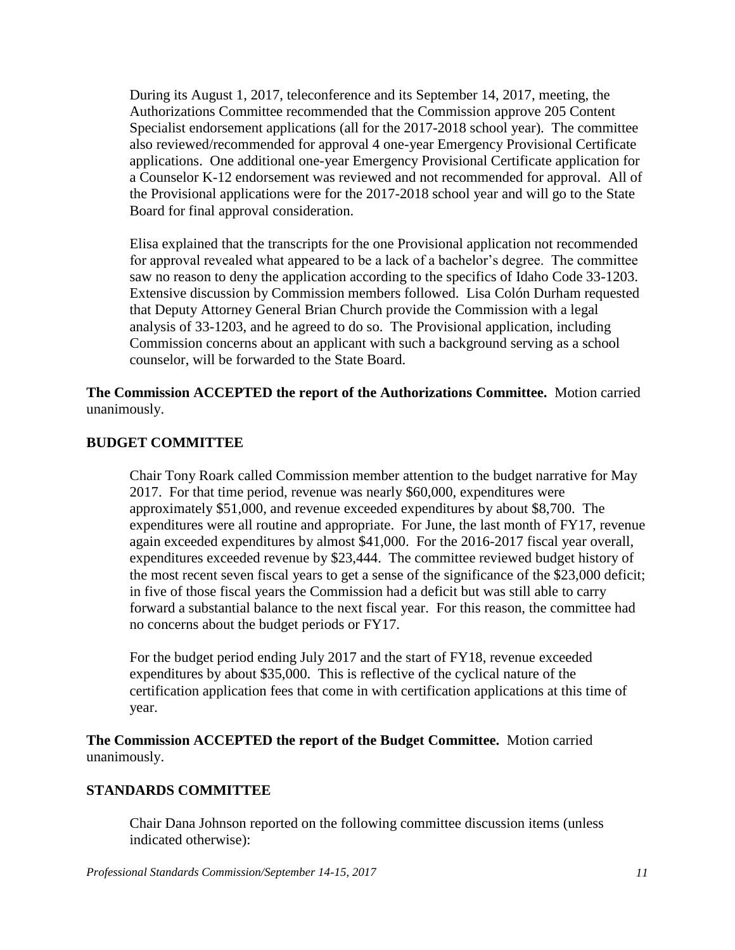During its August 1, 2017, teleconference and its September 14, 2017, meeting, the Authorizations Committee recommended that the Commission approve 205 Content Specialist endorsement applications (all for the 2017-2018 school year). The committee also reviewed/recommended for approval 4 one-year Emergency Provisional Certificate applications. One additional one-year Emergency Provisional Certificate application for a Counselor K-12 endorsement was reviewed and not recommended for approval. All of the Provisional applications were for the 2017-2018 school year and will go to the State Board for final approval consideration.

Elisa explained that the transcripts for the one Provisional application not recommended for approval revealed what appeared to be a lack of a bachelor's degree. The committee saw no reason to deny the application according to the specifics of Idaho Code 33-1203. Extensive discussion by Commission members followed. Lisa Colón Durham requested that Deputy Attorney General Brian Church provide the Commission with a legal analysis of 33-1203, and he agreed to do so. The Provisional application, including Commission concerns about an applicant with such a background serving as a school counselor, will be forwarded to the State Board.

**The Commission ACCEPTED the report of the Authorizations Committee.** Motion carried unanimously.

## **BUDGET COMMITTEE**

Chair Tony Roark called Commission member attention to the budget narrative for May 2017. For that time period, revenue was nearly \$60,000, expenditures were approximately \$51,000, and revenue exceeded expenditures by about \$8,700. The expenditures were all routine and appropriate. For June, the last month of FY17, revenue again exceeded expenditures by almost \$41,000. For the 2016-2017 fiscal year overall, expenditures exceeded revenue by \$23,444. The committee reviewed budget history of the most recent seven fiscal years to get a sense of the significance of the \$23,000 deficit; in five of those fiscal years the Commission had a deficit but was still able to carry forward a substantial balance to the next fiscal year. For this reason, the committee had no concerns about the budget periods or FY17.

For the budget period ending July 2017 and the start of FY18, revenue exceeded expenditures by about \$35,000. This is reflective of the cyclical nature of the certification application fees that come in with certification applications at this time of year.

**The Commission ACCEPTED the report of the Budget Committee.** Motion carried unanimously.

## **STANDARDS COMMITTEE**

Chair Dana Johnson reported on the following committee discussion items (unless indicated otherwise):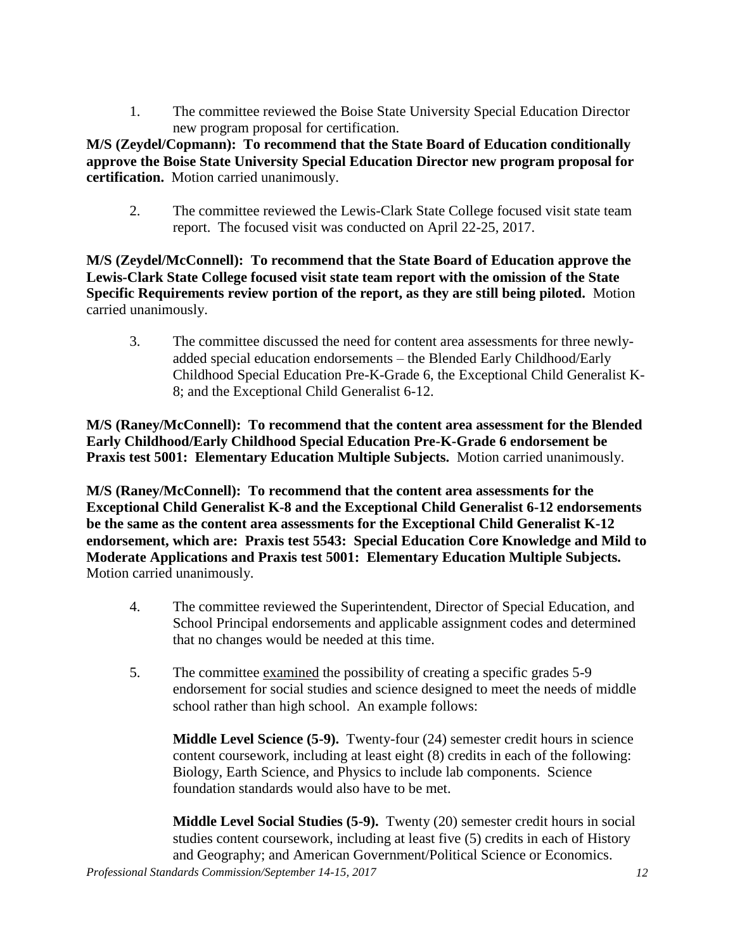1. The committee reviewed the Boise State University Special Education Director new program proposal for certification.

**M/S (Zeydel/Copmann): To recommend that the State Board of Education conditionally approve the Boise State University Special Education Director new program proposal for certification.** Motion carried unanimously.

2. The committee reviewed the Lewis-Clark State College focused visit state team report. The focused visit was conducted on April 22-25, 2017.

**M/S (Zeydel/McConnell): To recommend that the State Board of Education approve the Lewis-Clark State College focused visit state team report with the omission of the State Specific Requirements review portion of the report, as they are still being piloted.** Motion carried unanimously.

3. The committee discussed the need for content area assessments for three newlyadded special education endorsements – the Blended Early Childhood/Early Childhood Special Education Pre-K-Grade 6, the Exceptional Child Generalist K-8; and the Exceptional Child Generalist 6-12.

**M/S (Raney/McConnell): To recommend that the content area assessment for the Blended Early Childhood/Early Childhood Special Education Pre-K-Grade 6 endorsement be Praxis test 5001: Elementary Education Multiple Subjects.** Motion carried unanimously.

**M/S (Raney/McConnell): To recommend that the content area assessments for the Exceptional Child Generalist K-8 and the Exceptional Child Generalist 6-12 endorsements be the same as the content area assessments for the Exceptional Child Generalist K-12 endorsement, which are: Praxis test 5543: Special Education Core Knowledge and Mild to Moderate Applications and Praxis test 5001: Elementary Education Multiple Subjects.**  Motion carried unanimously.

- 4. The committee reviewed the Superintendent, Director of Special Education, and School Principal endorsements and applicable assignment codes and determined that no changes would be needed at this time.
- 5. The committee examined the possibility of creating a specific grades 5-9 endorsement for social studies and science designed to meet the needs of middle school rather than high school. An example follows:

**Middle Level Science (5-9).** Twenty-four (24) semester credit hours in science content coursework, including at least eight (8) credits in each of the following: Biology, Earth Science, and Physics to include lab components. Science foundation standards would also have to be met.

**Middle Level Social Studies (5-9).** Twenty (20) semester credit hours in social studies content coursework, including at least five (5) credits in each of History and Geography; and American Government/Political Science or Economics.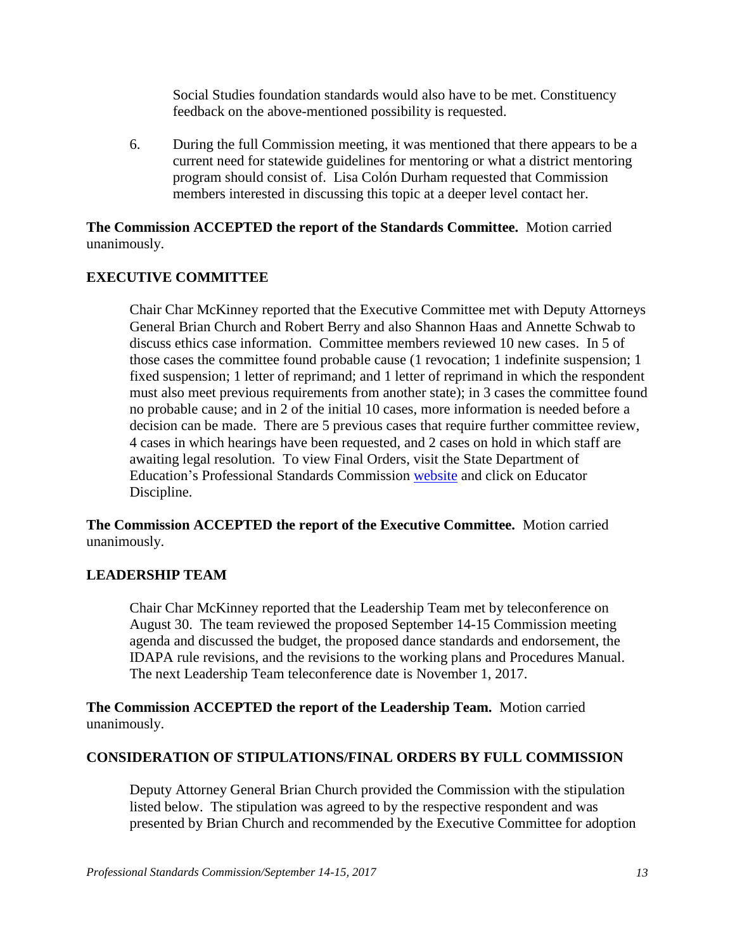Social Studies foundation standards would also have to be met. Constituency feedback on the above-mentioned possibility is requested.

6. During the full Commission meeting, it was mentioned that there appears to be a current need for statewide guidelines for mentoring or what a district mentoring program should consist of. Lisa Colón Durham requested that Commission members interested in discussing this topic at a deeper level contact her.

## **The Commission ACCEPTED the report of the Standards Committee.** Motion carried unanimously.

# **EXECUTIVE COMMITTEE**

Chair Char McKinney reported that the Executive Committee met with Deputy Attorneys General Brian Church and Robert Berry and also Shannon Haas and Annette Schwab to discuss ethics case information. Committee members reviewed 10 new cases. In 5 of those cases the committee found probable cause (1 revocation; 1 indefinite suspension; 1 fixed suspension; 1 letter of reprimand; and 1 letter of reprimand in which the respondent must also meet previous requirements from another state); in 3 cases the committee found no probable cause; and in 2 of the initial 10 cases, more information is needed before a decision can be made. There are 5 previous cases that require further committee review, 4 cases in which hearings have been requested, and 2 cases on hold in which staff are awaiting legal resolution. To view Final Orders, visit the State Department of Education's Professional Standards Commission [website](http://www.sde.idaho.gov/cert-psc/psc/ethics.html) and click on Educator Discipline.

**The Commission ACCEPTED the report of the Executive Committee.** Motion carried unanimously.

## **LEADERSHIP TEAM**

Chair Char McKinney reported that the Leadership Team met by teleconference on August 30. The team reviewed the proposed September 14-15 Commission meeting agenda and discussed the budget, the proposed dance standards and endorsement, the IDAPA rule revisions, and the revisions to the working plans and Procedures Manual. The next Leadership Team teleconference date is November 1, 2017.

**The Commission ACCEPTED the report of the Leadership Team.** Motion carried unanimously.

## **CONSIDERATION OF STIPULATIONS/FINAL ORDERS BY FULL COMMISSION**

Deputy Attorney General Brian Church provided the Commission with the stipulation listed below. The stipulation was agreed to by the respective respondent and was presented by Brian Church and recommended by the Executive Committee for adoption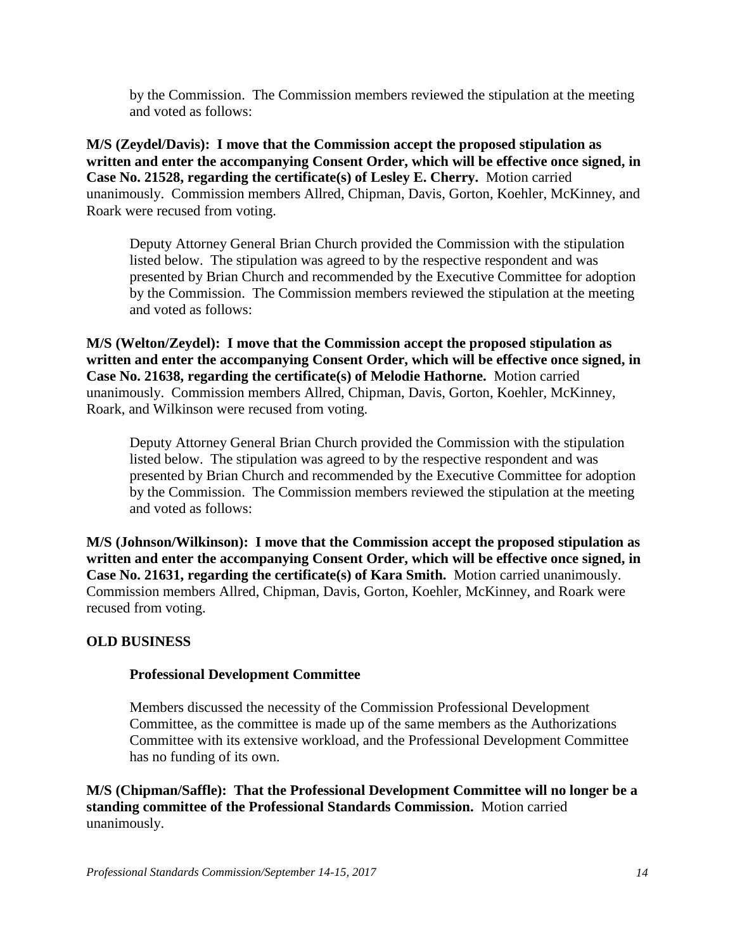by the Commission. The Commission members reviewed the stipulation at the meeting and voted as follows:

**M/S (Zeydel/Davis): I move that the Commission accept the proposed stipulation as written and enter the accompanying Consent Order, which will be effective once signed, in Case No. 21528, regarding the certificate(s) of Lesley E. Cherry.** Motion carried unanimously. Commission members Allred, Chipman, Davis, Gorton, Koehler, McKinney, and Roark were recused from voting.

Deputy Attorney General Brian Church provided the Commission with the stipulation listed below. The stipulation was agreed to by the respective respondent and was presented by Brian Church and recommended by the Executive Committee for adoption by the Commission. The Commission members reviewed the stipulation at the meeting and voted as follows:

**M/S (Welton/Zeydel): I move that the Commission accept the proposed stipulation as written and enter the accompanying Consent Order, which will be effective once signed, in Case No. 21638, regarding the certificate(s) of Melodie Hathorne.** Motion carried unanimously. Commission members Allred, Chipman, Davis, Gorton, Koehler, McKinney, Roark, and Wilkinson were recused from voting.

Deputy Attorney General Brian Church provided the Commission with the stipulation listed below. The stipulation was agreed to by the respective respondent and was presented by Brian Church and recommended by the Executive Committee for adoption by the Commission. The Commission members reviewed the stipulation at the meeting and voted as follows:

**M/S (Johnson/Wilkinson): I move that the Commission accept the proposed stipulation as written and enter the accompanying Consent Order, which will be effective once signed, in Case No. 21631, regarding the certificate(s) of Kara Smith.** Motion carried unanimously. Commission members Allred, Chipman, Davis, Gorton, Koehler, McKinney, and Roark were recused from voting.

## **OLD BUSINESS**

## **Professional Development Committee**

Members discussed the necessity of the Commission Professional Development Committee, as the committee is made up of the same members as the Authorizations Committee with its extensive workload, and the Professional Development Committee has no funding of its own.

**M/S (Chipman/Saffle): That the Professional Development Committee will no longer be a standing committee of the Professional Standards Commission.** Motion carried unanimously.